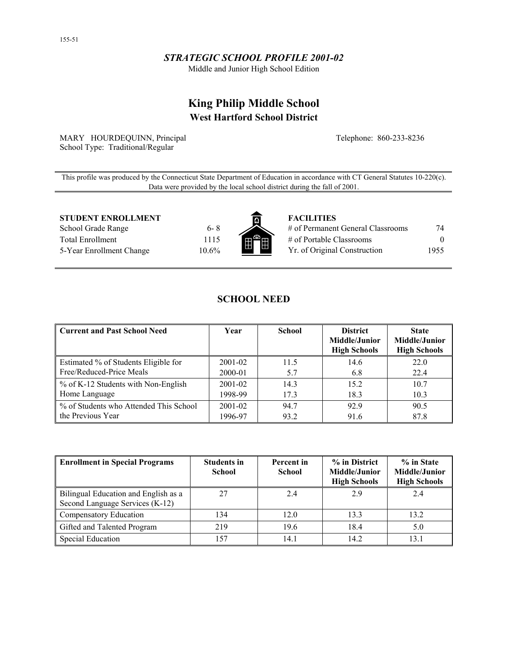# *STRATEGIC SCHOOL PROFILE 2001-02*

Middle and Junior High School Edition

# **King Philip Middle School West Hartford School District**

MARY HOURDEQUINN, Principal School Type: Traditional/Regular

Telephone: 860-233-8236

This profile was produced by the Connecticut State Department of Education in accordance with CT General Statutes 10-220(c). Data were provided by the local school district during the fall of 2001.

**STUDENT ENROLLMENT FACILITIES** 

School Grade Range 6-8 Total Enrollment 1115 5-Year Enrollment Change 10.6%



| # of Permanent General Classrooms | 74       |
|-----------------------------------|----------|
| $\#$ of Portable Classrooms       | $\theta$ |
| Yr. of Original Construction      | 1955     |

# **SCHOOL NEED**

| <b>Current and Past School Need</b>    | Year        | <b>School</b> | <b>District</b><br>Middle/Junior<br><b>High Schools</b> | <b>State</b><br>Middle/Junior<br><b>High Schools</b> |
|----------------------------------------|-------------|---------------|---------------------------------------------------------|------------------------------------------------------|
| Estimated % of Students Eligible for   | 2001-02     | 11.5          | 14.6                                                    | 22.0                                                 |
| Free/Reduced-Price Meals               | 2000-01     | 5.7           | 6.8                                                     | 22.4                                                 |
| % of K-12 Students with Non-English    | $2001 - 02$ | 14.3          | 15.2                                                    | 10.7                                                 |
| Home Language                          | 1998-99     | 17.3          | 18.3                                                    | 10.3                                                 |
| % of Students who Attended This School | 2001-02     | 94.7          | 92.9                                                    | 90.5                                                 |
| the Previous Year                      | 1996-97     | 93.2          | 91.6                                                    | 87.8                                                 |

| <b>Enrollment in Special Programs</b>                                   | <b>Students in</b><br><b>School</b> | Percent in<br><b>School</b> | % in District<br>Middle/Junior<br><b>High Schools</b> | % in State<br>Middle/Junior<br><b>High Schools</b> |
|-------------------------------------------------------------------------|-------------------------------------|-----------------------------|-------------------------------------------------------|----------------------------------------------------|
| Bilingual Education and English as a<br>Second Language Services (K-12) | 27                                  | 2.4                         | 2.9                                                   | 2.4                                                |
| Compensatory Education                                                  | 134                                 | 12.0                        | 13.3                                                  | 13.2                                               |
| Gifted and Talented Program                                             | 219                                 | 19.6                        | 18.4                                                  | 5.0                                                |
| <b>Special Education</b>                                                | 157                                 | 14.1                        | 14.2                                                  | 13.1                                               |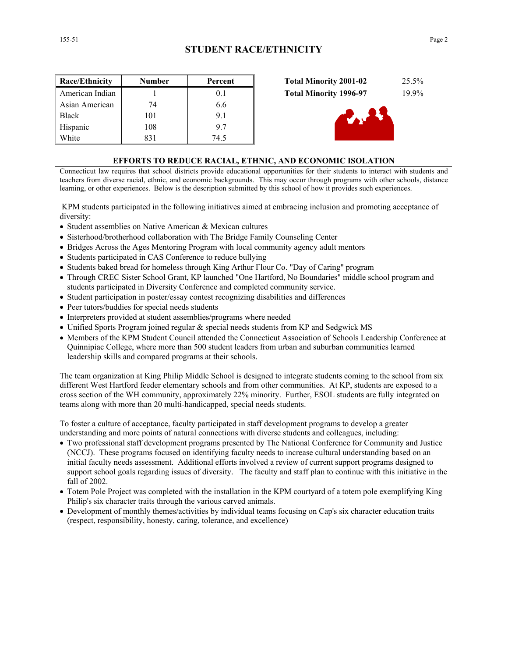| <b>Race/Ethnicity</b> | <b>Number</b> | Percent |
|-----------------------|---------------|---------|
| American Indian       |               | 0.1     |
| Asian American        | 74            | 6.6     |
| <b>Black</b>          | 101           | 91      |
| Hispanic              | 108           | 97      |
| White                 | 831           | 74.5    |





#### **EFFORTS TO REDUCE RACIAL, ETHNIC, AND ECONOMIC ISOLATION**

Connecticut law requires that school districts provide educational opportunities for their students to interact with students and teachers from diverse racial, ethnic, and economic backgrounds. This may occur through programs with other schools, distance learning, or other experiences. Below is the description submitted by this school of how it provides such experiences.

 KPM students participated in the following initiatives aimed at embracing inclusion and promoting acceptance of diversity:

- Student assemblies on Native American & Mexican cultures
- Sisterhood/brotherhood collaboration with The Bridge Family Counseling Center
- Bridges Across the Ages Mentoring Program with local community agency adult mentors
- Students participated in CAS Conference to reduce bullying
- Students baked bread for homeless through King Arthur Flour Co. "Day of Caring" program
- Through CREC Sister School Grant, KP launched "One Hartford, No Boundaries" middle school program and students participated in Diversity Conference and completed community service.
- Student participation in poster/essay contest recognizing disabilities and differences
- Peer tutors/buddies for special needs students
- Interpreters provided at student assemblies/programs where needed
- Unified Sports Program joined regular & special needs students from KP and Sedgwick MS
- Members of the KPM Student Council attended the Connecticut Association of Schools Leadership Conference at Quinnipiac College, where more than 500 student leaders from urban and suburban communities learned leadership skills and compared programs at their schools.

The team organization at King Philip Middle School is designed to integrate students coming to the school from six different West Hartford feeder elementary schools and from other communities. At KP, students are exposed to a cross section of the WH community, approximately 22% minority. Further, ESOL students are fully integrated on teams along with more than 20 multi-handicapped, special needs students.

To foster a culture of acceptance, faculty participated in staff development programs to develop a greater understanding and more points of natural connections with diverse students and colleagues, including:

- Two professional staff development programs presented by The National Conference for Community and Justice (NCCJ). These programs focused on identifying faculty needs to increase cultural understanding based on an initial faculty needs assessment. Additional efforts involved a review of current support programs designed to support school goals regarding issues of diversity. The faculty and staff plan to continue with this initiative in the fall of 2002.
- Totem Pole Project was completed with the installation in the KPM courtyard of a totem pole exemplifying King Philip's six character traits through the various carved animals.
- Development of monthly themes/activities by individual teams focusing on Cap's six character education traits (respect, responsibility, honesty, caring, tolerance, and excellence)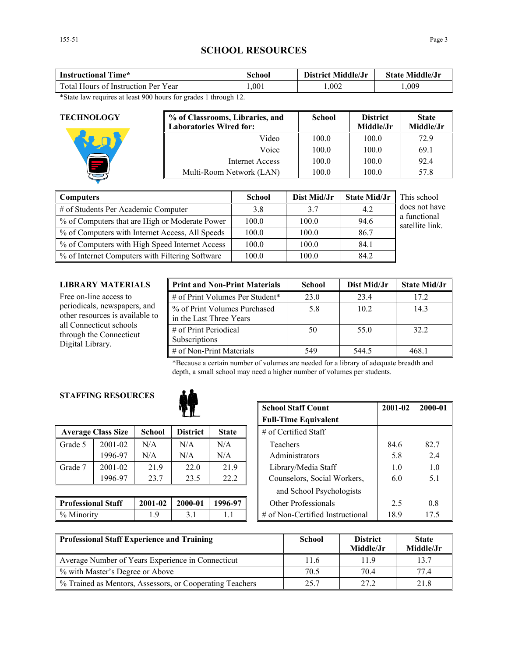# **SCHOOL RESOURCES**

| Time*<br><b>Instructional</b>          | School | District Middle/Jr | <b>State Middle/Jr</b> |  |
|----------------------------------------|--------|--------------------|------------------------|--|
| Total Hours of<br>Instruction Per Year | .001   | .002               | .009                   |  |

\*State law requires at least 900 hours for grades 1 through 12.

| % of Classrooms, Libraries, and<br><b>Laboratories Wired for:</b> | <b>School</b> | <b>District</b><br>Middle/Jr | <b>State</b><br>Middle/Jr |
|-------------------------------------------------------------------|---------------|------------------------------|---------------------------|
| Video                                                             | 100.0         | 100.0                        | 72.9                      |
| Voice                                                             | 100.0         | 100.0                        | 69.1                      |
| Internet Access                                                   | 100.0         | 100.0                        | 92.4                      |
| Multi-Room Network (LAN)                                          | 100.0         | 100.0                        | 57.8                      |
|                                                                   |               |                              |                           |

| <b>Computers</b>                                | <b>School</b> | Dist Mid/Jr | <b>State Mid/Jr</b> | This school                     |
|-------------------------------------------------|---------------|-------------|---------------------|---------------------------------|
| # of Students Per Academic Computer             | 3.8           | 3.7         | 4.2                 | does not have                   |
| % of Computers that are High or Moderate Power  | 100.0         | 100.0       | 94.6                | a functional<br>satellite link. |
| % of Computers with Internet Access, All Speeds | 100.0         | 100.0       | 86.7                |                                 |
| % of Computers with High Speed Internet Access  | 100.0         | 100.0       | 84.1                |                                 |
| % of Internet Computers with Filtering Software | 100.0         | 100.0       | 84.2                |                                 |

#### **LIBRARY MATERIALS**

| LIBRARY MATERIALS                                                      | <b>Print and Non-Print Materials</b>                    | <b>School</b> | Dist Mid/Jr | <b>State Mid/Jr</b> |
|------------------------------------------------------------------------|---------------------------------------------------------|---------------|-------------|---------------------|
| Free on-line access to                                                 | # of Print Volumes Per Student*                         | 23.0          | 23.4        | 17.2                |
| periodicals, newspapers, and<br>other resources is available to        | % of Print Volumes Purchased<br>in the Last Three Years | 5.8           | 10.2        | 143                 |
| all Connecticut schools<br>through the Connecticut<br>Digital Library. | # of Print Periodical<br>Subscriptions                  | 50            | 55.0        | 32.2                |
|                                                                        | # of Non-Print Materials                                | 549           | 544.5       | 468.1               |

\*Because a certain number of volumes are needed for a library of adequate breadth and depth, a small school may need a higher number of volumes per students.

## **STAFFING RESOURCES**



|         | <b>Average Class Size</b> | <b>School</b> | <b>District</b> | <b>State</b> | $\#$ of Certified Staff     |      |      |
|---------|---------------------------|---------------|-----------------|--------------|-----------------------------|------|------|
| Grade 5 | 2001-02                   | N/A           | N/A             | N/A          | Teachers                    | 84.6 | 82.7 |
|         | 1996-97                   | N/A           | N/A             | N/A          | Administrators              | 5.8  | 2.4  |
| Grade 7 | 2001-02                   | 21.9          | 22.0            | 21.9         | Library/Media Staff         | 1.0  | 1.0  |
|         | 1996-97                   | 23.7          | 23.5            | 22.2         | Counselors, Social Workers, | 6.0  | 5.1  |
|         |                           |               |                 |              | $-1.011 - 1.011$            |      |      |

| <b>Professional Staff</b> | 2001-02 | 2000-01  | 1996-97 | Other Professionals                 |     |   |
|---------------------------|---------|----------|---------|-------------------------------------|-----|---|
| % Minority                |         | <u>.</u> |         | $\#$ of Non-Certified Instructional | 18. | . |

|           |               | <b>School Staff Count</b><br><b>Full-Time Equivalent</b> | 2001-02      | 2000-01                          |      |      |
|-----------|---------------|----------------------------------------------------------|--------------|----------------------------------|------|------|
| lass Size | <b>School</b> | <b>District</b>                                          | <b>State</b> | $\#$ of Certified Staff          |      |      |
| 2001-02   | N/A           | N/A                                                      | N/A          | <b>Teachers</b>                  | 84.6 | 82.7 |
| 1996-97   | N/A           | N/A                                                      | N/A          | Administrators                   | 5.8  | 2.4  |
| 2001-02   | 21.9          | 22.0                                                     | 21.9         | Library/Media Staff              | 1.0  | 1.0  |
| 1996-97   | 23.7          | 23.5                                                     | 22.2         | Counselors, Social Workers,      | 6.0  | 5.1  |
|           |               |                                                          |              | and School Psychologists         |      |      |
| l Staff   | 2001-02       | 2000-01                                                  | 1996-97      | <b>Other Professionals</b>       | 2.5  | 0.8  |
|           | 1.9           | 3.1                                                      | 1.1          | # of Non-Certified Instructional | 18.9 | 17.5 |

| Professional Staff Experience and Training                 | <b>School</b> | <b>District</b><br>Middle/Jr | <b>State</b><br>Middle/Jr |
|------------------------------------------------------------|---------------|------------------------------|---------------------------|
| Average Number of Years Experience in Connecticut          | 11.6          | 119                          | 13.7                      |
| ↑ % with Master's Degree or Above                          | 70.5          | 704                          | 77 4                      |
| Ⅰ % Trained as Mentors, Assessors, or Cooperating Teachers | 25.7          | 27.2                         | 21.8                      |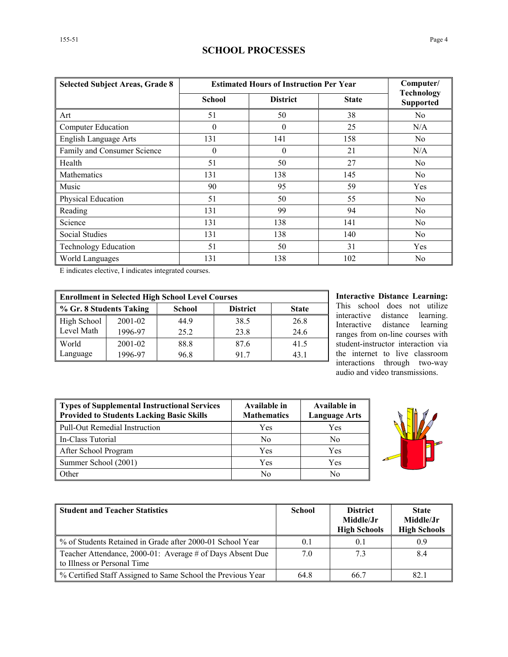# **SCHOOL PROCESSES**

| <b>Selected Subject Areas, Grade 8</b> | <b>Estimated Hours of Instruction Per Year</b> | Computer/       |              |                                       |
|----------------------------------------|------------------------------------------------|-----------------|--------------|---------------------------------------|
|                                        | <b>School</b>                                  | <b>District</b> | <b>State</b> | <b>Technology</b><br><b>Supported</b> |
| Art                                    | 51                                             | 50              | 38           | No                                    |
| <b>Computer Education</b>              | $\theta$                                       | $\theta$        | 25           | N/A                                   |
| English Language Arts                  | 131                                            | 141             | 158          | N <sub>0</sub>                        |
| Family and Consumer Science            | $\theta$                                       | $\theta$        | 21           | N/A                                   |
| Health                                 | 51                                             | 50              | 27           | N <sub>0</sub>                        |
| <b>Mathematics</b>                     | 131                                            | 138             | 145          | N <sub>0</sub>                        |
| Music                                  | 90                                             | 95              | 59           | Yes                                   |
| Physical Education                     | 51                                             | 50              | 55           | No                                    |
| Reading                                | 131                                            | 99              | 94           | N <sub>0</sub>                        |
| Science                                | 131                                            | 138             | 141          | N <sub>0</sub>                        |
| <b>Social Studies</b>                  | 131                                            | 138             | 140          | N <sub>0</sub>                        |
| <b>Technology Education</b>            | 51                                             | 50              | 31           | Yes                                   |
| World Languages                        | 131                                            | 138             | 102          | N <sub>0</sub>                        |

E indicates elective, I indicates integrated courses.

| <b>Enrollment in Selected High School Level Courses</b> |         |               |                 |              |  |  |
|---------------------------------------------------------|---------|---------------|-----------------|--------------|--|--|
| % Gr. 8 Students Taking                                 |         | <b>School</b> | <b>District</b> | <b>State</b> |  |  |
| High School                                             | 2001-02 | 44.9          | 38.5            | 26.8         |  |  |
| Level Math                                              | 1996-97 | 25.2          | 23.8            | 24.6         |  |  |
| World                                                   | 2001-02 | 88.8          | 87.6            | 41.5         |  |  |
| Language                                                | 1996-97 | 96.8          | 917             | 43 1         |  |  |

**Interactive Distance Learning:** This school does not utilize interactive distance learning. Interactive distance learning ranges from on-line courses with student-instructor interaction via the internet to live classroom interactions through two-way audio and video transmissions.

| <b>Types of Supplemental Instructional Services</b><br><b>Provided to Students Lacking Basic Skills</b> | Available in<br><b>Mathematics</b> | Available in<br><b>Language Arts</b> |  |
|---------------------------------------------------------------------------------------------------------|------------------------------------|--------------------------------------|--|
| <b>Pull-Out Remedial Instruction</b>                                                                    | Yes                                | Yes                                  |  |
| In-Class Tutorial                                                                                       | No                                 | No                                   |  |
| After School Program                                                                                    | Yes                                | Yes                                  |  |
| Summer School (2001)                                                                                    | Yes                                | Yes                                  |  |
| Other                                                                                                   | No                                 | No                                   |  |



| <b>Student and Teacher Statistics</b>                                                    | <b>School</b> | <b>District</b><br>Middle/Jr<br><b>High Schools</b> | <b>State</b><br>Middle/Jr<br><b>High Schools</b> |
|------------------------------------------------------------------------------------------|---------------|-----------------------------------------------------|--------------------------------------------------|
| % of Students Retained in Grade after 2000-01 School Year                                | 0.1           | 0.1                                                 | 0.9                                              |
| Teacher Attendance, 2000-01: Average # of Days Absent Due<br>to Illness or Personal Time | 7.0           | 7.3                                                 | 8.4                                              |
| % Certified Staff Assigned to Same School the Previous Year                              | 64.8          | 66.7                                                | 82.1                                             |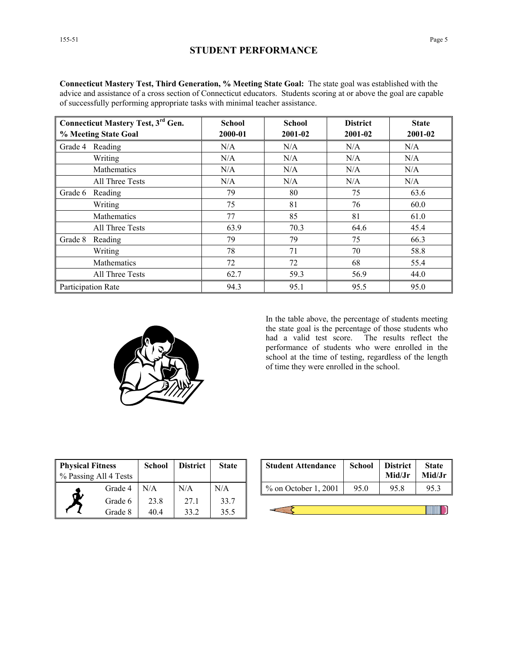|  | Page 5 |
|--|--------|

**Connecticut Mastery Test, Third Generation, % Meeting State Goal:** The state goal was established with the advice and assistance of a cross section of Connecticut educators. Students scoring at or above the goal are capable of successfully performing appropriate tasks with minimal teacher assistance.

| <b>Connecticut Mastery Test, 3rd Gen.</b><br>% Meeting State Goal | <b>School</b><br>2000-01 | <b>School</b><br>2001-02 | <b>District</b><br>2001-02 | <b>State</b><br>2001-02 |  |
|-------------------------------------------------------------------|--------------------------|--------------------------|----------------------------|-------------------------|--|
| Reading<br>Grade 4                                                | N/A                      | N/A                      | N/A                        | N/A                     |  |
| Writing                                                           | N/A                      | N/A                      | N/A                        | N/A                     |  |
| Mathematics                                                       | N/A                      | N/A                      | N/A                        | N/A                     |  |
| All Three Tests                                                   | N/A                      | N/A                      | N/A                        | N/A                     |  |
| Grade 6<br>Reading                                                | 79                       | 80                       | 75                         | 63.6                    |  |
| Writing                                                           | 75                       | 81                       | 76                         | 60.0                    |  |
| Mathematics                                                       | 77                       | 85                       | 81                         | 61.0                    |  |
| All Three Tests                                                   | 63.9                     | 70.3                     | 64.6                       | 45.4                    |  |
| Grade 8<br>Reading                                                | 79                       | 79                       | 75                         | 66.3                    |  |
| Writing                                                           | 78                       | 71                       | 70                         | 58.8                    |  |
| Mathematics                                                       | 72                       | 72                       | 68                         | 55.4                    |  |
| All Three Tests                                                   | 62.7                     | 59.3                     | 56.9                       | 44.0                    |  |
| Participation Rate                                                | 94.3                     | 95.1                     | 95.5                       | 95.0                    |  |



In the table above, the percentage of students meeting the state goal is the percentage of those students who had a valid test score. The results reflect the performance of students who were enrolled in the school at the time of testing, regardless of the length of time they were enrolled in the school.

| <b>Physical Fitness</b><br>% Passing All 4 Tests |         | <b>School</b> | <b>District</b> | <b>State</b> |
|--------------------------------------------------|---------|---------------|-----------------|--------------|
|                                                  | Grade 4 | N/A           | N/A             | N/A          |
|                                                  | Grade 6 | 23.8          | 271             | 33.7         |
|                                                  | Grade 8 | 404           | 33.2            | 35.5         |

| ess<br>l 4 Tests | <b>School</b> | <b>District</b> | <b>State</b> | <b>Student Attendance</b> | <b>School</b> | <b>District</b><br>Mid/Jr | <b>State</b><br>Mid/Jr |
|------------------|---------------|-----------------|--------------|---------------------------|---------------|---------------------------|------------------------|
| Grade 4          | N/A           | N/A             | N/A          | $%$ on October 1, 2001    | 95.0          | 95.8                      | 95.3                   |
| Grade 6          | 23.8          | 27.1            | 33.7         |                           |               |                           |                        |
| Grade 8          | 404           |                 |              |                           |               |                           |                        |